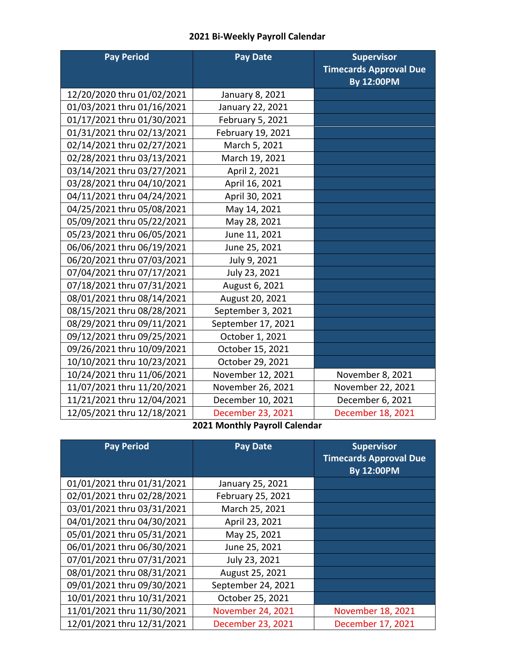## **2021 Bi-Weekly Payroll Calendar**

| <b>Pay Period</b>          | <b>Pay Date</b>    | <b>Supervisor</b><br><b>Timecards Approval Due</b><br><b>By 12:00PM</b> |
|----------------------------|--------------------|-------------------------------------------------------------------------|
| 12/20/2020 thru 01/02/2021 | January 8, 2021    |                                                                         |
| 01/03/2021 thru 01/16/2021 | January 22, 2021   |                                                                         |
| 01/17/2021 thru 01/30/2021 | February 5, 2021   |                                                                         |
| 01/31/2021 thru 02/13/2021 | February 19, 2021  |                                                                         |
| 02/14/2021 thru 02/27/2021 | March 5, 2021      |                                                                         |
| 02/28/2021 thru 03/13/2021 | March 19, 2021     |                                                                         |
| 03/14/2021 thru 03/27/2021 | April 2, 2021      |                                                                         |
| 03/28/2021 thru 04/10/2021 | April 16, 2021     |                                                                         |
| 04/11/2021 thru 04/24/2021 | April 30, 2021     |                                                                         |
| 04/25/2021 thru 05/08/2021 | May 14, 2021       |                                                                         |
| 05/09/2021 thru 05/22/2021 | May 28, 2021       |                                                                         |
| 05/23/2021 thru 06/05/2021 | June 11, 2021      |                                                                         |
| 06/06/2021 thru 06/19/2021 | June 25, 2021      |                                                                         |
| 06/20/2021 thru 07/03/2021 | July 9, 2021       |                                                                         |
| 07/04/2021 thru 07/17/2021 | July 23, 2021      |                                                                         |
| 07/18/2021 thru 07/31/2021 | August 6, 2021     |                                                                         |
| 08/01/2021 thru 08/14/2021 | August 20, 2021    |                                                                         |
| 08/15/2021 thru 08/28/2021 | September 3, 2021  |                                                                         |
| 08/29/2021 thru 09/11/2021 | September 17, 2021 |                                                                         |
| 09/12/2021 thru 09/25/2021 | October 1, 2021    |                                                                         |
| 09/26/2021 thru 10/09/2021 | October 15, 2021   |                                                                         |
| 10/10/2021 thru 10/23/2021 | October 29, 2021   |                                                                         |
| 10/24/2021 thru 11/06/2021 | November 12, 2021  | November 8, 2021                                                        |
| 11/07/2021 thru 11/20/2021 | November 26, 2021  | November 22, 2021                                                       |
| 11/21/2021 thru 12/04/2021 | December 10, 2021  | December 6, 2021                                                        |
| 12/05/2021 thru 12/18/2021 | December 23, 2021  | December 18, 2021                                                       |

**2021 Monthly Payroll Calendar**

| <b>Pay Period</b>          | <b>Pay Date</b>          | <b>Supervisor</b><br><b>Timecards Approval Due</b><br>By 12:00PM |
|----------------------------|--------------------------|------------------------------------------------------------------|
| 01/01/2021 thru 01/31/2021 | January 25, 2021         |                                                                  |
| 02/01/2021 thru 02/28/2021 | February 25, 2021        |                                                                  |
| 03/01/2021 thru 03/31/2021 | March 25, 2021           |                                                                  |
| 04/01/2021 thru 04/30/2021 | April 23, 2021           |                                                                  |
| 05/01/2021 thru 05/31/2021 | May 25, 2021             |                                                                  |
| 06/01/2021 thru 06/30/2021 | June 25, 2021            |                                                                  |
| 07/01/2021 thru 07/31/2021 | July 23, 2021            |                                                                  |
| 08/01/2021 thru 08/31/2021 | August 25, 2021          |                                                                  |
| 09/01/2021 thru 09/30/2021 | September 24, 2021       |                                                                  |
| 10/01/2021 thru 10/31/2021 | October 25, 2021         |                                                                  |
| 11/01/2021 thru 11/30/2021 | <b>November 24, 2021</b> | November 18, 2021                                                |
| 12/01/2021 thru 12/31/2021 | December 23, 2021        | December 17, 2021                                                |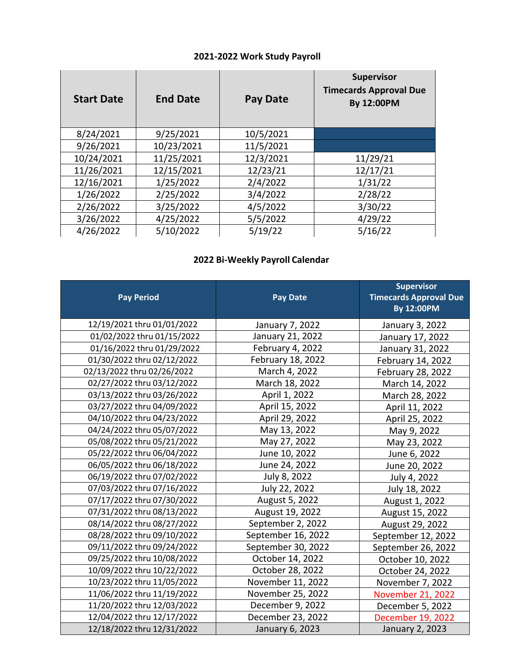## **2021-2022 Work Study Payroll**

| <b>Start Date</b> | <b>End Date</b> | <b>Pay Date</b> | <b>Supervisor</b><br><b>Timecards Approval Due</b><br><b>By 12:00PM</b> |
|-------------------|-----------------|-----------------|-------------------------------------------------------------------------|
| 8/24/2021         | 9/25/2021       | 10/5/2021       |                                                                         |
| 9/26/2021         | 10/23/2021      | 11/5/2021       |                                                                         |
| 10/24/2021        | 11/25/2021      | 12/3/2021       | 11/29/21                                                                |
| 11/26/2021        | 12/15/2021      | 12/23/21        | 12/17/21                                                                |
| 12/16/2021        | 1/25/2022       | 2/4/2022        | 1/31/22                                                                 |
| 1/26/2022         | 2/25/2022       | 3/4/2022        | 2/28/22                                                                 |
| 2/26/2022         | 3/25/2022       | 4/5/2022        | 3/30/22                                                                 |
| 3/26/2022         | 4/25/2022       | 5/5/2022        | 4/29/22                                                                 |
| 4/26/2022         | 5/10/2022       | 5/19/22         | 5/16/22                                                                 |

## **2022 Bi-Weekly Payroll Calendar**

| <b>Pay Period</b>          | <b>Pay Date</b>    | <b>Supervisor</b><br><b>Timecards Approval Due</b><br>By 12:00PM |
|----------------------------|--------------------|------------------------------------------------------------------|
| 12/19/2021 thru 01/01/2022 | January 7, 2022    | January 3, 2022                                                  |
| 01/02/2022 thru 01/15/2022 | January 21, 2022   | January 17, 2022                                                 |
| 01/16/2022 thru 01/29/2022 | February 4, 2022   | January 31, 2022                                                 |
| 01/30/2022 thru 02/12/2022 | February 18, 2022  | February 14, 2022                                                |
| 02/13/2022 thru 02/26/2022 | March 4, 2022      | February 28, 2022                                                |
| 02/27/2022 thru 03/12/2022 | March 18, 2022     | March 14, 2022                                                   |
| 03/13/2022 thru 03/26/2022 | April 1, 2022      | March 28, 2022                                                   |
| 03/27/2022 thru 04/09/2022 | April 15, 2022     | April 11, 2022                                                   |
| 04/10/2022 thru 04/23/2022 | April 29, 2022     | April 25, 2022                                                   |
| 04/24/2022 thru 05/07/2022 | May 13, 2022       | May 9, 2022                                                      |
| 05/08/2022 thru 05/21/2022 | May 27, 2022       | May 23, 2022                                                     |
| 05/22/2022 thru 06/04/2022 | June 10, 2022      | June 6, 2022                                                     |
| 06/05/2022 thru 06/18/2022 | June 24, 2022      | June 20, 2022                                                    |
| 06/19/2022 thru 07/02/2022 | July 8, 2022       | July 4, 2022                                                     |
| 07/03/2022 thru 07/16/2022 | July 22, 2022      | July 18, 2022                                                    |
| 07/17/2022 thru 07/30/2022 | August 5, 2022     | August 1, 2022                                                   |
| 07/31/2022 thru 08/13/2022 | August 19, 2022    | August 15, 2022                                                  |
| 08/14/2022 thru 08/27/2022 | September 2, 2022  | August 29, 2022                                                  |
| 08/28/2022 thru 09/10/2022 | September 16, 2022 | September 12, 2022                                               |
| 09/11/2022 thru 09/24/2022 | September 30, 2022 | September 26, 2022                                               |
| 09/25/2022 thru 10/08/2022 | October 14, 2022   | October 10, 2022                                                 |
| 10/09/2022 thru 10/22/2022 | October 28, 2022   | October 24, 2022                                                 |
| 10/23/2022 thru 11/05/2022 | November 11, 2022  | November 7, 2022                                                 |
| 11/06/2022 thru 11/19/2022 | November 25, 2022  | <b>November 21, 2022</b>                                         |
| 11/20/2022 thru 12/03/2022 | December 9, 2022   | December 5, 2022                                                 |
| 12/04/2022 thru 12/17/2022 | December 23, 2022  | December 19, 2022                                                |
| 12/18/2022 thru 12/31/2022 | January 6, 2023    | January 2, 2023                                                  |